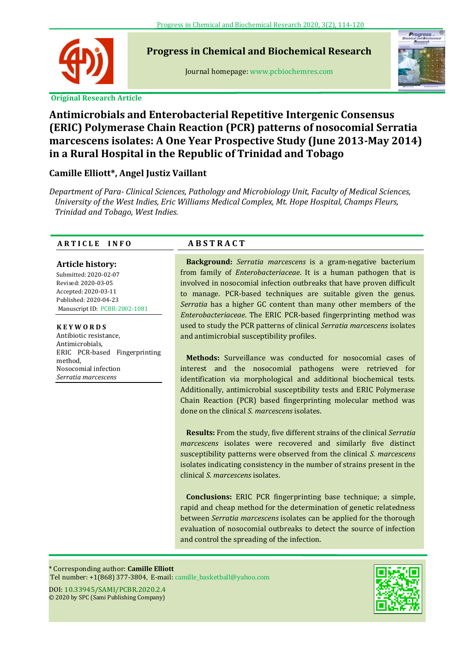

**Progress in Chemical and Biochemical Research**

Journal homepage: www.pcbiochemres.com



# **Antimicrobials and Enterobacterial Repetitive Intergenic Consensus (ERIC) Polymerase Chain Reaction (PCR) patterns of nosocomial Serratia marcescens isolates: A One Year Prospective Study (June 2013-May 2014) in a Rural Hospital in the Republic of Trinidad and Tobago**

# **Camille Elliott\*, Angel Justiz Vaillant**

*Department of Para- Clinical Sciences, Pathology and Microbiology Unit, Faculty of Medical Sciences, University of the West Indies, Eric Williams Medical Complex, Mt. Hope Hospital, Champs Fleurs, Trinidad and Tobago, West Indies.*

## **A R T I C L E I N F O**

## **Article history:**

**---** Revised: 2020-03-05 Submitted: 2020-02-07 Accepted: 2020-03-11 Published: 2020-04-23 Manuscript ID: PCBR-2002-1081

### **K E Y W O R D S**

Antibiotic resistance, Antimicrobials, ERIC PCR-based Fingerprinting method, Nosocomial infection *Serratia marcescens*

# **A B S T R A C T**

**Background:** *Serratia marcescens* is a gram-negative bacterium from family of *Enterobacteriaceae*. It is a human pathogen that is involved in nosocomial infection outbreaks that have proven difficult to manage. PCR-based techniques are suitable given the genus. *Serratia* has a higher GC content than many other members of the *Enterobacteriaceae*. The ERIC PCR-based fingerprinting method was used to study the PCR patterns of clinical *Serratia marcescens* isolates and antimicrobial susceptibility profiles.

**Methods:** Surveillance was conducted for nosocomial cases of interest and the nosocomial pathogens were retrieved for identification via morphological and additional biochemical tests. Additionally, antimicrobial susceptibility tests and ERIC Polymerase Chain Reaction (PCR) based fingerprinting molecular method was done on the clinical *S. marcescens* isolates.

**Results:** From the study, five different strains of the clinical *Serratia marcescens* isolates were recovered and similarly five distinct susceptibility patterns were observed from the clinical *S. marcescens* isolates indicating consistency in the number of strains present in the clinical *S. marcescens* isolates.

**Conclusions:** ERIC PCR fingerprinting base technique; a simple, rapid and cheap method for the determination of genetic relatedness between *Serratia marcescens* isolates can be applied for the thorough evaluation of nosocomial outbreaks to detect the source of infection and control the spreading of the infection.

\* Corresponding author: **Camille Elliott** Tel number: +1(868) 377-3804, E-mail: [camille\\_basketball@yahoo.com](mailto:camille_basketball@yahoo.com)

DOI: 10.33945/SAMI/PCBR.2020.2.4 © 2020 by SPC (Sami Publishing Company)

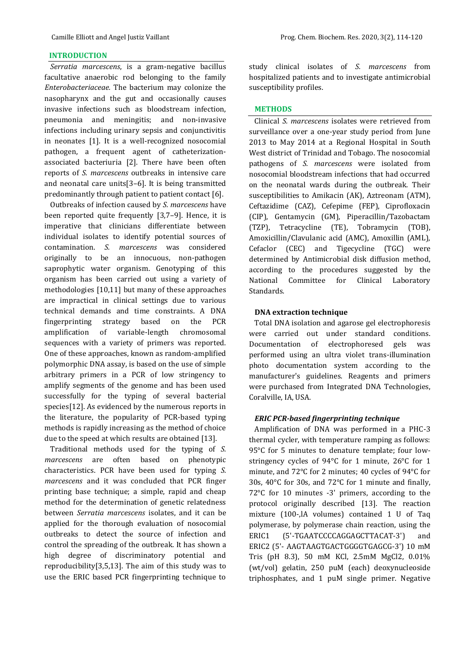#### **INTRODUCTION**

*Serratia marcescens*, is a gram-negative bacillus facultative anaerobic rod belonging to the family *Enterobacteriaceae.* The bacterium may colonize the nasopharynx and the gut and occasionally causes invasive infections such as bloodstream infection, pneumonia and meningitis; and non-invasive infections including urinary sepsis and conjunctivitis in neonates [1]. It is a well-recognized nosocomial pathogen, a frequent agent of catheterizationassociated bacteriuria [2]. There have been often reports of *S. marcescens* outbreaks in intensive care and neonatal care units[3–6]. It is being transmitted predominantly through patient to patient contact [6].

Outbreaks of infection caused by *S. marcescens* have been reported quite frequently [3,7–9]. Hence, it is imperative that clinicians differentiate between individual isolates to identify potential sources of contamination. *S. marcescens* was considered originally to be an innocuous, non-pathogen saprophytic water organism. Genotyping of this organism has been carried out using a variety of methodologies [10,11] but many of these approaches are impractical in clinical settings due to various technical demands and time constraints. A DNA fingerprinting strategy based on the PCR amplification of variable-length chromosomal sequences with a variety of primers was reported. One of these approaches, known as random-amplified polymorphic DNA assay, is based on the use of simple arbitrary primers in a PCR of low stringency to amplify segments of the genome and has been used successfully for the typing of several bacterial species[12]. As evidenced by the numerous reports in the literature, the popularity of PCR-based typing methods is rapidly increasing as the method of choice due to the speed at which results are obtained [13].

Traditional methods used for the typing of *S. marcescens* are often based on phenotypic characteristics. PCR have been used for typing *S. marcescens* and it was concluded that PCR finger printing base technique; a simple, rapid and cheap method for the determination of genetic relatedness between *Serratia marcescens* isolates, and it can be applied for the thorough evaluation of nosocomial outbreaks to detect the source of infection and control the spreading of the outbreak. It has shown a high degree of discriminatory potential and reproducibility[3,5,13]. The aim of this study was to use the ERIC based PCR fingerprinting technique to study clinical isolates of *S. marcescens* from hospitalized patients and to investigate antimicrobial susceptibility profiles.

#### **METHODS**

Clinical *S. marcescens* isolates were retrieved from surveillance over a one-year study period from June 2013 to May 2014 at a Regional Hospital in South West district of Trinidad and Tobago. The nosocomial pathogens of *S. marcescens* were isolated from nosocomial bloodstream infections that had occurred on the neonatal wards during the outbreak. Their susceptibilities to Amikacin (AK), Aztreonam (ATM), Ceftazidime (CAZ), Cefepime (FEP), Ciprofloxacin (CIP), Gentamycin (GM), Piperacillin/Tazobactam (TZP), Tetracycline (TE), Tobramycin (TOB), Amoxicillin/Clavulanic acid (AMC), Amoxillin (AML), Cefaclor (CEC) and Tigecycline (TGC) were determined by Antimicrobial disk diffusion method, according to the procedures suggested by the National Committee for Clinical Laboratory Standards.

#### **DNA extraction technique**

Total DNA isolation and agarose gel electrophoresis were carried out under standard conditions. Documentation of electrophoresed gels was performed using an ultra violet trans-illumination photo documentation system according to the manufacturer's guidelines. Reagents and primers were purchased from Integrated DNA Technologies, Coralville, IA, USA.

#### *ERIC PCR-based fingerprinting technique*

Amplification of DNA was performed in a PHC-3 thermal cycler, with temperature ramping as follows: 95°C for 5 minutes to denature template; four lowstringency cycles of 94°C for 1 minute, 26°C for 1 minute, and 72°C for 2 minutes; 40 cycles of 94°C for 30s, 40°C for 30s, and 72°C for 1 minute and finally, 72°C for 10 minutes -3' primers, according to the protocol originally described [13]. The reaction mixture (100-,lA volumes) contained 1 U of Taq polymerase, by polymerase chain reaction, using the ERIC1 (5'-TGAATCCCCAGGAGCTTACAT-3') and ERIC2 (5'- AAGTAAGTGACTGGGGTGAGCG-3') 10 mM Tris (pH 8.3), 50 mM KCl, 2.5mM MgCl2, 0.01% (wt/vol) gelatin, 250 puM (each) deoxynucleoside triphosphates, and 1 puM single primer. Negative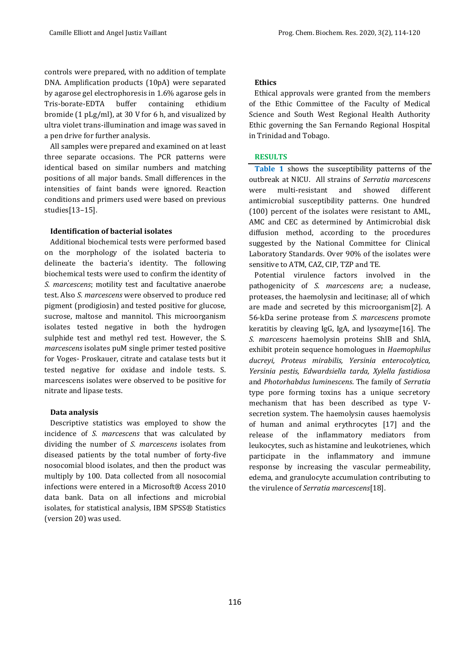controls were prepared, with no addition of template DNA. Amplification products (10pA) were separated by agarose gel electrophoresis in 1.6% agarose gels in Tris-borate-EDTA buffer containing ethidium bromide (1 pLg/ml), at 30 V for 6 h, and visualized by ultra violet trans-illumination and image was saved in a pen drive for further analysis.

All samples were prepared and examined on at least three separate occasions. The PCR patterns were identical based on similar numbers and matching positions of all major bands. Small differences in the intensities of faint bands were ignored. Reaction conditions and primers used were based on previous studies[13–15].

#### **Identification of bacterial isolates**

Additional biochemical tests were performed based on the morphology of the isolated bacteria to delineate the bacteria's identity. The following biochemical tests were used to confirm the identity of *S. marcescens*; motility test and facultative anaerobe test. Also *S. marcescens* were observed to produce red pigment (prodigiosin) and tested positive for glucose, sucrose, maltose and mannitol. This microorganism isolates tested negative in both the hydrogen sulphide test and methyl red test. However, the S. *marcescens* isolates puM single primer tested positive for Voges- Proskauer, citrate and catalase tests but it tested negative for oxidase and indole tests. S. marcescens isolates were observed to be positive for nitrate and lipase tests.

#### **Data analysis**

Descriptive statistics was employed to show the incidence of *S. marcescens* that was calculated by dividing the number of *S. marcescens* isolates from diseased patients by the total number of forty-five nosocomial blood isolates, and then the product was multiply by 100. Data collected from all nosocomial infections were entered in a Microsoft® Access 2010 data bank. Data on all infections and microbial isolates, for statistical analysis, IBM SPSS® Statistics (version 20) was used.

#### **Ethics**

Ethical approvals were granted from the members of the Ethic Committee of the Faculty of Medical Science and South West Regional Health Authority Ethic governing the San Fernando Regional Hospital in Trinidad and Tobago.

#### **RESULTS**

**Table 1** shows the susceptibility patterns of the outbreak at NICU. All strains of *Serratia marcescens*  were multi-resistant and showed different antimicrobial susceptibility patterns. One hundred (100) percent of the isolates were resistant to AML, AMC and CEC as determined by Antimicrobial disk diffusion method, according to the procedures suggested by the National Committee for Clinical Laboratory Standards. Over 90% of the isolates were sensitive to ATM, CAZ, CIP, TZP and TE.

Potential virulence factors involved in the pathogenicity of *S. marcescens* are; a nuclease, proteases, the haemolysin and lecitinase; all of which are made and secreted by this microorganism[2]. A 56-kDa serine protease from *S. marcescens* promote keratitis by cleaving IgG, IgA, and lysozyme[16]. The *S. marcescens* haemolysin proteins ShlB and ShlA, exhibit protein sequence homologues in *Haemophilus ducreyi, Proteus mirabilis, Yersinia enterocolytica, Yersinia pestis, Edwardsiella tarda, Xylella fastidiosa* and *Photorhabdus luminescens*. The family of *Serratia* type pore forming toxins has a unique secretory mechanism that has been described as type Vsecretion system. The haemolysin causes haemolysis of human and animal erythrocytes [17] and the release of the inflammatory mediators from leukocytes, such as histamine and leukotrienes, which participate in the inflammatory and immune response by increasing the vascular permeability, edema, and granulocyte accumulation contributing to the virulence of *Serratia marcescens*[18].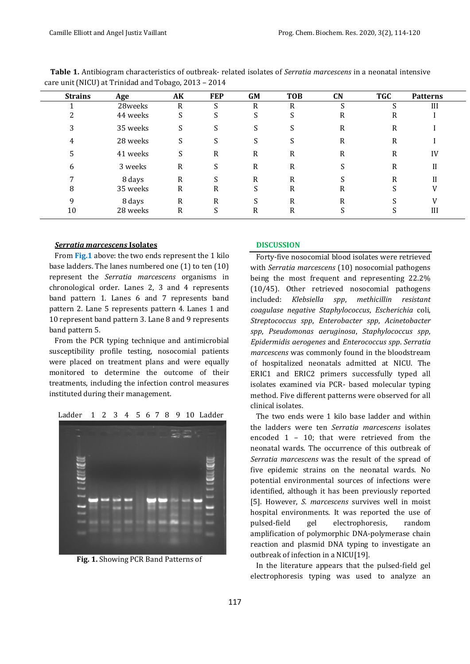| <b>Strains</b> | Age      | AK           | <b>FEP</b> | GM | <b>TOB</b> | CN | <b>TGC</b> | <b>Patterns</b> |
|----------------|----------|--------------|------------|----|------------|----|------------|-----------------|
|                | 28weeks  | R            | ົ          | R  | R          |    |            | III             |
|                | 44 weeks | S            | c<br>G.    | S  | C          | R  | R          |                 |
|                | 35 weeks | S            |            | S. | C          | R  | R          |                 |
|                | 28 weeks | S            | S          | S  | C.         | R  | R          |                 |
| C.             | 41 weeks | S            | R          | R  | R          | R  | R          | IV              |
| b              | 3 weeks  | R            | S          | R  | R          | C  | R          | H               |
|                | 8 days   | $\mathbb{R}$ |            | R  | R          |    | R          |                 |
| 8              | 35 weeks | R            | R          | S  | R          | R  |            | V               |
|                | 8 days   | R            | R          |    | R          | R  |            |                 |
| 10             | 28 weeks | R            | C          | R  | R          |    |            | Ш               |

**Table 1.** Antibiogram characteristics of outbreak- related isolates of *Serratia marcescens* in a neonatal intensive care unit (NICU) at Trinidad and Tobago, 2013 – 2014

#### *Serratia marcescens* **Isolates**

From **Fig.1** above: the two ends represent the 1 kilo base ladders. The lanes numbered one (1) to ten (10) represent the *Serratia marcescens* organisms in chronological order. Lanes 2, 3 and 4 represents band pattern 1. Lanes 6 and 7 represents band pattern 2. Lane 5 represents pattern 4. Lanes 1 and 10 represent band pattern 3. Lane 8 and 9 represents band pattern 5.

From the PCR typing technique and antimicrobial susceptibility profile testing, nosocomial patients were placed on treatment plans and were equally monitored to determine the outcome of their treatments, including the infection control measures instituted during their management.



**Fig. 1.** Showing PCR Band Patterns of

#### **DISCUSSION**

Forty-five nosocomial blood isolates were retrieved with *Serratia marcescens* (10) nosocomial pathogens being the most frequent and representing 22.2% (10/45). Other retrieved nosocomial pathogens included: *Klebsiella spp*, *methicillin resistant coagulase negative Staphylococcus*, *Escherichia* coli, *Streptococcus spp*, *Enterobacter spp*, *Acinetobacter spp*, *Pseudomonas aeruginosa*, *Staphylococcus spp*, *Epidermidis aerogenes* and *Enterococcus spp*. *Serratia marcescens* was commonly found in the bloodstream of hospitalized neonatals admitted at NICU. The ERIC1 and ERIC2 primers successfully typed all isolates examined via PCR- based molecular typing method. Five different patterns were observed for all clinical isolates.

The two ends were 1 kilo base ladder and within the ladders were ten *Serratia marcescens* isolates encoded 1 – 10; that were retrieved from the neonatal wards. The occurrence of this outbreak of *Serratia marcescens* was the result of the spread of five epidemic strains on the neonatal wards. No potential environmental sources of infections were identified, although it has been previously reported [5]. However, *S. marcescens* survives well in moist hospital environments. It was reported the use of pulsed-field gel electrophoresis, random amplification of polymorphic DNA-polymerase chain reaction and plasmid DNA typing to investigate an outbreak of infection in a NICU[19].

In the literature appears that the pulsed-field gel electrophoresis typing was used to analyze an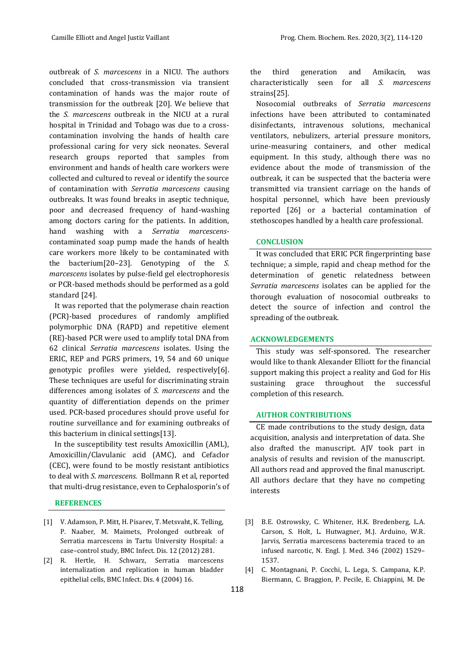outbreak of *S. marcescens* in a NICU. The authors concluded that cross-transmission via transient contamination of hands was the major route of transmission for the outbreak [20]. We believe that the *S. marcescens* outbreak in the NICU at a rural hospital in Trinidad and Tobago was due to a crosscontamination involving the hands of health care professional caring for very sick neonates. Several research groups reported that samples from environment and hands of health care workers were collected and cultured to reveal or identify the source of contamination with *Serratia marcescens* causing outbreaks. It was found breaks in aseptic technique, poor and decreased frequency of hand-washing among doctors caring for the patients. In addition, hand washing with a *Serratia marcescens*contaminated soap pump made the hands of health care workers more likely to be contaminated with the bacterium[20–23]. Genotyping of the *S. marcescens* isolates by pulse-field gel electrophoresis or PCR-based methods should be performed as a gold standard [24].

It was reported that the polymerase chain reaction (PCR)-based procedures of randomly amplified polymorphic DNA (RAPD) and repetitive element (RE)-based PCR were used to amplify total DNA from 62 clinical *Serratia marcescens* isolates. Using the ERIC, REP and PGRS primers, 19, 54 and 60 unique genotypic profiles were yielded, respectively[6]. These techniques are useful for discriminating strain differences among isolates of *S. marcescens* and the quantity of differentiation depends on the primer used. PCR-based procedures should prove useful for routine surveillance and for examining outbreaks of this bacterium in clinical settings[13].

In the susceptibility test results Amoxicillin (AML), Amoxicillin/Clavulanic acid (AMC), and Cefaclor (CEC), were found to be mostly resistant antibiotics to deal with *S*. *marcescens.* [Bollmann R](https://www.ncbi.nlm.nih.gov/pubmed/?term=Bollmann%20R%5BAuthor%5D&cauthor=true&cauthor_uid=2689347) et al, reported that multi-drug resistance, even to Cephalosporin's of

#### **REFERENCES**

- [1] V. Adamson, P. Mitt, H. Pisarev, T. Metsvaht, K. Telling, P. Naaber, M. Maimets, Prolonged outbreak of Serratia marcescens in Tartu University Hospital: a case–control study, BMC Infect. Dis. 12 (2012) 281.
- [2] R. Hertle, H. Schwarz, Serratia marcescens internalization and replication in human bladder epithelial cells, BMC Infect. Dis. 4 (2004) 16.

the third generation and Amikacin, was characteristically seen for all *S. marcescens* strains[25].

Nosocomial outbreaks of *Serratia marcescens* infections have been attributed to contaminated disinfectants, intravenous solutions, mechanical ventilators, nebulizers, arterial pressure monitors, urine-measuring containers, and other medical equipment. In this study, although there was no evidence about the mode of transmission of the outbreak, it can be suspected that the bacteria were transmitted via transient carriage on the hands of hospital personnel, which have been previously reported [26] or a bacterial contamination of stethoscopes handled by a health care professional.

#### **CONCLUSION**

It was concluded that ERIC PCR fingerprinting base technique; a simple, rapid and cheap method for the determination of genetic relatedness between *Serratia marcescens* isolates can be applied for the thorough evaluation of nosocomial outbreaks to detect the source of infection and control the spreading of the outbreak.

#### **ACKNOWLEDGEMENTS**

This study was self-sponsored. The researcher would like to thank Alexander Elliott for the financial support making this project a reality and God for His sustaining grace throughout the successful completion of this research.

#### **AUTHOR CONTRIBUTIONS**

CE made contributions to the study design, data acquisition, analysis and interpretation of data. She also drafted the manuscript. AJV took part in analysis of results and revision of the manuscript. All authors read and approved the final manuscript. All authors declare that they have no competing interests

- [3] B.E. Ostrowsky, C. Whitener, H.K. Bredenberg, L.A. Carson, S. Holt, L. Hutwagner, M.J. Arduino, W.R. Jarvis, Serratia marcescens bacteremia traced to an infused narcotic, N. Engl. J. Med. 346 (2002) 1529– 1537.
- [4] C. Montagnani, P. Cocchi, L. Lega, S. Campana, K.P. Biermann, C. Braggion, P. Pecile, E. Chiappini, M. De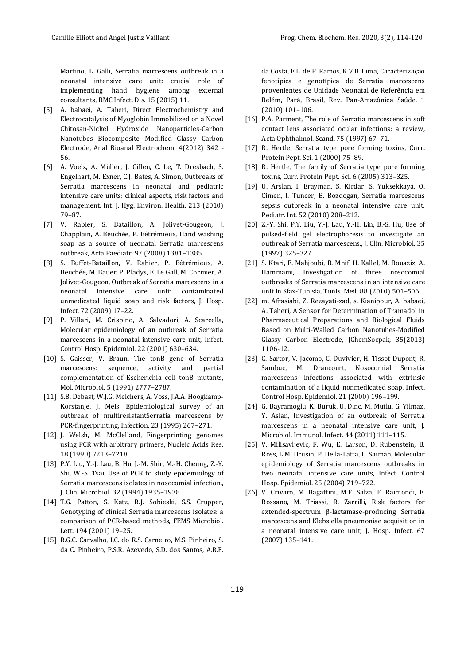Martino, L. Galli, Serratia marcescens outbreak in a neonatal intensive care unit: crucial role of implementing hand hygiene among external consultants, BMC Infect. Dis. 15 (2015) 11.

- [5] A. babaei, A. Taheri, Direct Electrochemistry and Electrocatalysis of Myoglobin Immobilized on a Novel Chitosan-Nickel Hydroxide Nanoparticles-Carbon Nanotubes Biocomposite Modified Glassy Carbon Electrode, Anal Bioanal Electrochem, 4(2012) 342 - 56.
- [6] A. Voelz, A. Müller, J. Gillen, C. Le, T. Dresbach, S. Engelhart, M. Exner, C.J. Bates, A. Simon, Outbreaks of Serratia marcescens in neonatal and pediatric intensive care units: clinical aspects, risk factors and management, Int. J. Hyg. Environ. Health. 213 (2010) 79–87.
- [7] V. Rabier, S. Bataillon, A. Jolivet‐Gougeon, J. Chapplain, A. Beuchée, P. Bétrémieux, Hand washing soap as a source of neonatal Serratia marcescens outbreak, Acta Paediatr. 97 (2008) 1381–1385.
- [8] S. Buffet-Bataillon, V. Rabier, P. Bétrémieux, A. Beuchée, M. Bauer, P. Pladys, E. Le Gall, M. Cormier, A. Jolivet-Gougeon, Outbreak of Serratia marcescens in a neonatal intensive care unit: contaminated unmedicated liquid soap and risk factors, J. Hosp. Infect. 72 (2009) 17–22.
- [9] P. Villari, M. Crispino, A. Salvadori, A. Scarcella, Molecular epidemiology of an outbreak of Serratia marcescens in a neonatal intensive care unit, Infect. Control Hosp. Epidemiol. 22 (2001) 630–634.
- [10] S. Gaisser, V. Braun, The tonB gene of Serratia marcescens: sequence, activity and partial complementation of Escherichia coli tonB mutants, Mol. Microbiol. 5 (1991) 2777–2787.
- [11] S.B. Debast, W.J.G. Melchers, A. Voss, J.A.A. Hoogkamp-Korstanje, J. Meis, Epidemiological survey of an outbreak of multiresistantSerratia marcescens by PCR-fingerprinting, Infection. 23 (1995) 267–271.
- [12] J. Welsh, M. McClelland, Fingerprinting genomes using PCR with arbitrary primers, Nucleic Acids Res. 18 (1990) 7213–7218.
- [13] P.Y. Liu, Y.-J. Lau, B. Hu, J.-M. Shir, M.-H. Cheung, Z.-Y. Shi, W.-S. Tsai, Use of PCR to study epidemiology of Serratia marcescens isolates in nosocomial infection., J. Clin. Microbiol. 32 (1994) 1935–1938.
- [14] T.G. Patton, S. Katz, R.J. Sobieski, S.S. Crupper, Genotyping of clinical Serratia marcescens isolates: a comparison of PCR-based methods, FEMS Microbiol. Lett. 194 (2001) 19–25.
- [15] R.G.C. Carvalho, I.C. do R.S. Carneiro, M.S. Pinheiro, S. da C. Pinheiro, P.S.R. Azevedo, S.D. dos Santos, A.R.F.

da Costa, F.L. de P. Ramos, K.V.B. Lima, Caracterização fenotípica e genotípica de Serratia marcescens provenientes de Unidade Neonatal de Referência em Belém, Pará, Brasil, Rev. Pan-Amazônica Saúde. 1 (2010) 101–106.

- [16] P.A. Parment, The role of Serratia marcescens in soft contact lens associated ocular infections: a review, Acta Ophthalmol. Scand. 75 (1997) 67–71.
- [17] R. Hertle, Serratia type pore forming toxins, Curr. Protein Pept. Sci. 1 (2000) 75–89.
- [18] R. Hertle, The family of Serratia type pore forming toxins, Curr. Protein Pept. Sci. 6 (2005) 313–325.
- [19] U. Arslan, I. Erayman, S. Kirdar, S. Yuksekkaya, O. Cimen, I. Tuncer, B. Bozdogan, Serratia marcescens sepsis outbreak in a neonatal intensive care unit, Pediatr. Int. 52 (2010) 208–212.
- [20] Z.-Y. Shi, P.Y. Liu, Y.-J. Lau, Y.-H. Lin, B.-S. Hu, Use of pulsed-field gel electrophoresis to investigate an outbreak of Serratia marcescens., J. Clin. Microbiol. 35 (1997) 325–327.
- [21] S. Ktari, F. Mahjoubi, B. Mnif, H. Kallel, M. Bouaziz, A. Hammami, Investigation of three nosocomial outbreaks of Serratia marcescens in an intensive care unit in Sfax-Tunisia, Tunis. Med. 88 (2010) 501–506.
- [22] m. Afrasiabi, Z. Rezayati-zad, s. Kianipour, A. babaei, A. Taheri, A Sensor for Determination of Tramadol in Pharmaceutical Preparations and Biological Fluids Based on Multi-Walled Carbon Nanotubes-Modified Glassy Carbon Electrode, JChemSocpak, 35(2013) 1106-12.
- [23] C. Sartor, V. Jacomo, C. Duvivier, H. Tissot-Dupont, R. Sambuc, M. Drancourt, Nosocomial Serratia marcescens infections associated with extrinsic contamination of a liquid nonmedicated soap, Infect. Control Hosp. Epidemiol. 21 (2000) 196–199.
- [24] G. Bayramoglu, K. Buruk, U. Dinc, M. Mutlu, G. Yilmaz, Y. Aslan, Investigation of an outbreak of Serratia marcescens in a neonatal intensive care unit, J. Microbiol. Immunol. Infect. 44 (2011) 111–115.
- [25] V. Milisavljevic, F. Wu, E. Larson, D. Rubenstein, B. Ross, L.M. Drusin, P. Della-Latta, L. Saiman, Molecular epidemiology of Serratia marcescens outbreaks in two neonatal intensive care units, Infect. Control Hosp. Epidemiol. 25 (2004) 719–722.
- [26] V. Crivaro, M. Bagattini, M.F. Salza, F. Raimondi, F. Rossano, M. Triassi, R. Zarrilli, Risk factors for extended-spectrum β-lactamase-producing Serratia marcescens and Klebsiella pneumoniae acquisition in a neonatal intensive care unit, J. Hosp. Infect. 67 (2007) 135–141.